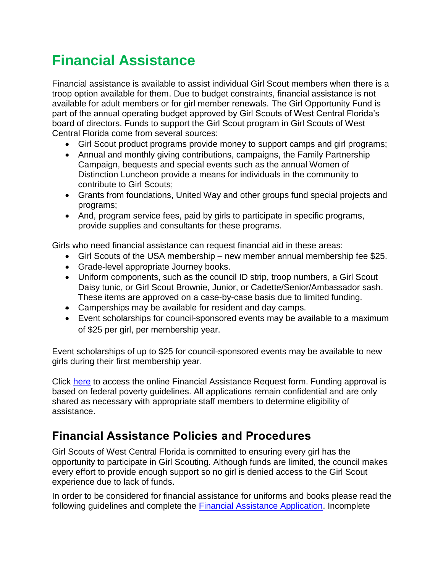# **Financial Assistance**

Financial assistance is available to assist individual Girl Scout members when there is a troop option available for them. Due to budget constraints, financial assistance is not available for adult members or for girl member renewals. The Girl Opportunity Fund is part of the annual operating budget approved by Girl Scouts of West Central Florida's board of directors. Funds to support the Girl Scout program in Girl Scouts of West Central Florida come from several sources:

- Girl Scout product programs provide money to support camps and girl programs;
- Annual and monthly giving contributions, campaigns, the Family Partnership Campaign, bequests and special events such as the annual Women of Distinction Luncheon provide a means for individuals in the community to contribute to Girl Scouts;
- Grants from foundations, United Way and other groups fund special projects and programs;
- And, program service fees, paid by girls to participate in specific programs, provide supplies and consultants for these programs.

Girls who need financial assistance can request financial aid in these areas:

- Girl Scouts of the USA membership new member annual membership fee \$25.
- Grade-level appropriate Journey books.
- Uniform components, such as the council ID strip, troop numbers, a Girl Scout Daisy tunic, or Girl Scout Brownie, Junior, or Cadette/Senior/Ambassador sash. These items are approved on a case-by-case basis due to limited funding.
- Camperships may be available for resident and day camps.
- Event scholarships for council-sponsored events may be available to a maximum of \$25 per girl, per membership year.

Event scholarships of up to \$25 for council-sponsored events may be available to new girls during their first membership year.

Click [here](https://gswcf.wufoo.com/forms/z1lkeni01l552nb/) to access the online Financial Assistance Request form. Funding approval is based on federal poverty guidelines. All applications remain confidential and are only shared as necessary with appropriate staff members to determine eligibility of assistance.

## **Financial Assistance Policies and Procedures**

Girl Scouts of West Central Florida is committed to ensuring every girl has the opportunity to participate in Girl Scouting. Although funds are limited, the council makes every effort to provide enough support so no girl is denied access to the Girl Scout experience due to lack of funds.

In order to be considered for financial assistance for uniforms and books please read the following guidelines and complete the [Financial Assistance Application.](https://gswcf.wufoo.com/forms/z1lkeni01l552nb/) Incomplete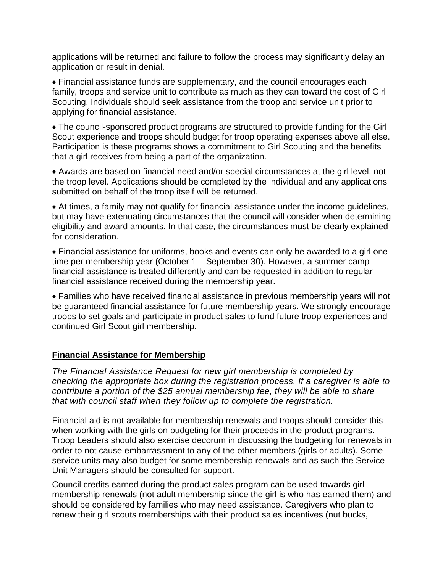applications will be returned and failure to follow the process may significantly delay an application or result in denial.

 Financial assistance funds are supplementary, and the council encourages each family, troops and service unit to contribute as much as they can toward the cost of Girl Scouting. Individuals should seek assistance from the troop and service unit prior to applying for financial assistance.

 The council-sponsored product programs are structured to provide funding for the Girl Scout experience and troops should budget for troop operating expenses above all else. Participation is these programs shows a commitment to Girl Scouting and the benefits that a girl receives from being a part of the organization.

 Awards are based on financial need and/or special circumstances at the girl level, not the troop level. Applications should be completed by the individual and any applications submitted on behalf of the troop itself will be returned.

 At times, a family may not qualify for financial assistance under the income guidelines, but may have extenuating circumstances that the council will consider when determining eligibility and award amounts. In that case, the circumstances must be clearly explained for consideration.

 Financial assistance for uniforms, books and events can only be awarded to a girl one time per membership year (October 1 – September 30). However, a summer camp financial assistance is treated differently and can be requested in addition to regular financial assistance received during the membership year.

 Families who have received financial assistance in previous membership years will not be guaranteed financial assistance for future membership years. We strongly encourage troops to set goals and participate in product sales to fund future troop experiences and continued Girl Scout girl membership.

#### **Financial Assistance for Membership**

*The Financial Assistance Request for new girl membership is completed by checking the appropriate box during the registration process. If a caregiver is able to contribute a portion of the \$25 annual membership fee, they will be able to share that with council staff when they follow up to complete the registration.* 

Financial aid is not available for membership renewals and troops should consider this when working with the girls on budgeting for their proceeds in the product programs. Troop Leaders should also exercise decorum in discussing the budgeting for renewals in order to not cause embarrassment to any of the other members (girls or adults). Some service units may also budget for some membership renewals and as such the Service Unit Managers should be consulted for support.

Council credits earned during the product sales program can be used towards girl membership renewals (not adult membership since the girl is who has earned them) and should be considered by families who may need assistance. Caregivers who plan to renew their girl scouts memberships with their product sales incentives (nut bucks,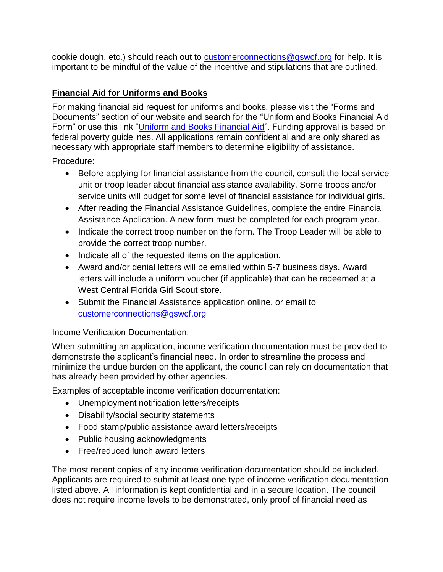cookie dough, etc.) should reach out to **customerconnections@gswcf.org** for help. It is important to be mindful of the value of the incentive and stipulations that are outlined.

### **Financial Aid for Uniforms and Books**

For making financial aid request for uniforms and books, please visit the "Forms and Documents" section of our website and search for the "Uniform and Books Financial Aid Form" or use this link ["Uniform and Books Financial Aid"](https://gswcf.wufoo.com/forms/z1lkeni01l552nb/). Funding approval is based on federal poverty guidelines. All applications remain confidential and are only shared as necessary with appropriate staff members to determine eligibility of assistance.

Procedure:

- Before applying for financial assistance from the council, consult the local service unit or troop leader about financial assistance availability. Some troops and/or service units will budget for some level of financial assistance for individual girls.
- After reading the Financial Assistance Guidelines, complete the entire Financial Assistance Application. A new form must be completed for each program year.
- Indicate the correct troop number on the form. The Troop Leader will be able to provide the correct troop number.
- Indicate all of the requested items on the application.
- Award and/or denial letters will be emailed within 5-7 business days. Award letters will include a uniform voucher (if applicable) that can be redeemed at a West Central Florida Girl Scout store.
- Submit the Financial Assistance application online, or email to [customerconnections@gswcf.org](mailto:customerconnections@gswcf.org)

Income Verification Documentation:

When submitting an application, income verification documentation must be provided to demonstrate the applicant's financial need. In order to streamline the process and minimize the undue burden on the applicant, the council can rely on documentation that has already been provided by other agencies.

Examples of acceptable income verification documentation:

- Unemployment notification letters/receipts
- Disability/social security statements
- Food stamp/public assistance award letters/receipts
- Public housing acknowledgments
- Free/reduced lunch award letters

The most recent copies of any income verification documentation should be included. Applicants are required to submit at least one type of income verification documentation listed above. All information is kept confidential and in a secure location. The council does not require income levels to be demonstrated, only proof of financial need as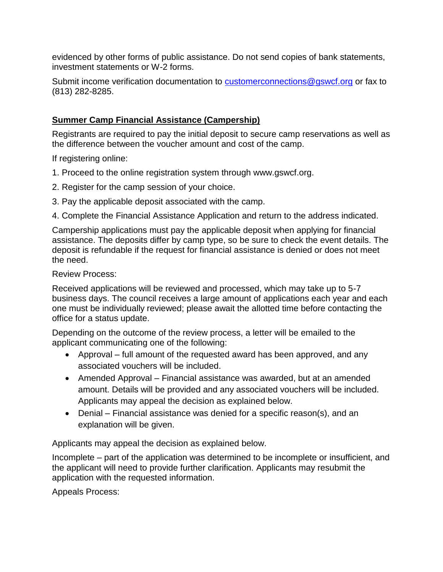evidenced by other forms of public assistance. Do not send copies of bank statements, investment statements or W-2 forms.

Submit income verification documentation to [customerconnections@gswcf.org](mailto:customerconnections@gswcf.org) or fax to (813) 282-8285.

#### **Summer Camp Financial Assistance (Campership)**

Registrants are required to pay the initial deposit to secure camp reservations as well as the difference between the voucher amount and cost of the camp.

If registering online:

- 1. Proceed to the online registration system through www.gswcf.org.
- 2. Register for the camp session of your choice.
- 3. Pay the applicable deposit associated with the camp.

4. Complete the Financial Assistance Application and return to the address indicated.

Campership applications must pay the applicable deposit when applying for financial assistance. The deposits differ by camp type, so be sure to check the event details. The deposit is refundable if the request for financial assistance is denied or does not meet the need.

Review Process:

Received applications will be reviewed and processed, which may take up to 5-7 business days. The council receives a large amount of applications each year and each one must be individually reviewed; please await the allotted time before contacting the office for a status update.

Depending on the outcome of the review process, a letter will be emailed to the applicant communicating one of the following:

- Approval full amount of the requested award has been approved, and any associated vouchers will be included.
- Amended Approval Financial assistance was awarded, but at an amended amount. Details will be provided and any associated vouchers will be included. Applicants may appeal the decision as explained below.
- Denial Financial assistance was denied for a specific reason(s), and an explanation will be given.

Applicants may appeal the decision as explained below.

Incomplete – part of the application was determined to be incomplete or insufficient, and the applicant will need to provide further clarification. Applicants may resubmit the application with the requested information.

Appeals Process: